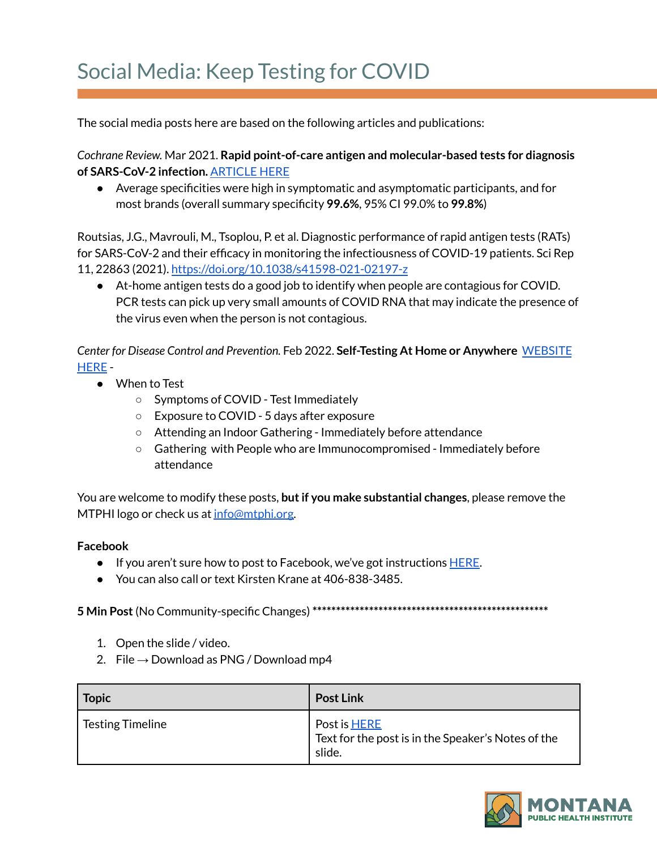## Social Media: Keep Testing for COVID

The social media posts here are based on the following articles and publications:

*Cochrane Review.* Mar 2021. **Rapid point-of-care antigen and molecular-based tests for diagnosis of SARS-CoV-2 infection.** [ARTICLE](https://www.cochranelibrary.com/cdsr/doi/10.1002/14651858.CD013705.pub2/full) HERE

● Average specificities were high in symptomatic and asymptomatic participants, and for most brands (overall summary specificity **99.6%**, 95% CI 99.0% to **99.8%**)

Routsias, J.G., Mavrouli, M., Tsoplou, P. et al. Diagnostic performance of rapid antigen tests (RATs) for SARS-CoV-2 and their efficacy in monitoring the infectiousness of COVID-19 patients. Sci Rep 11, 22863 (2021). <https://doi.org/10.1038/s41598-021-02197-z>

● At-home antigen tests do a good job to identify when people are contagious for COVID. PCR tests can pick up very small amounts of COVID RNA that may indicate the presence of the virus even when the person is not contagious.

*Center for Disease Control and Prevention.* Feb 2022. **Self-Testing At Home or Anywhere** [WEBSITE](https://www.cdc.gov/coronavirus/2019-ncov/testing/self-testing.html) [HERE](https://www.cdc.gov/coronavirus/2019-ncov/testing/self-testing.html) -

- When to Test
	- Symptoms of COVID Test Immediately
	- Exposure to COVID 5 days after exposure
	- Attending an Indoor Gathering Immediately before attendance
	- Gathering with People who are Immunocompromised Immediately before attendance

You are welcome to modify these posts, **butif you make substantial changes**, please remove the MTPHI logo or check us at [info@mtphi.org.](mailto:info@mtphi.org)

## **Facebook**

- If you aren't sure how to post to Facebook, we've got instructions [HERE](https://docs.google.com/document/d/1lPT5OlsdAcd5UzGaS0B-kcM4cndZhiOHd2b7c3r7f5Q/edit?usp=sharing).
- You can also call or text Kirsten Krane at 406-838-3485.

**5 Min Post**(No Community-specific Changes) **\*\*\*\*\*\*\*\*\*\*\*\*\*\*\*\*\*\*\*\*\*\*\*\*\*\*\*\*\*\*\*\*\*\*\*\*\*\*\*\*\*\*\*\*\*\*\*\*\*\***

- 1. Open the slide / video.
- 2. File  $\rightarrow$  Download as PNG / Download mp4

| Topic            | <b>Post Link</b>                                                                    |
|------------------|-------------------------------------------------------------------------------------|
| Testing Timeline | Post is <b>HERE</b><br>Text for the post is in the Speaker's Notes of the<br>slide. |